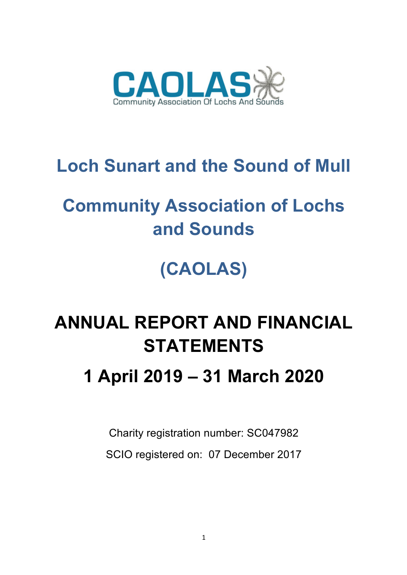

# **Loch Sunart and the Sound of Mull**

# **Community Association of Lochs and Sounds**

# **(CAOLAS)**

## **ANNUAL REPORT AND FINANCIAL STATEMENTS**

## **1 April 2019 – 31 March 2020**

Charity registration number: SC047982 SCIO registered on: 07 December 2017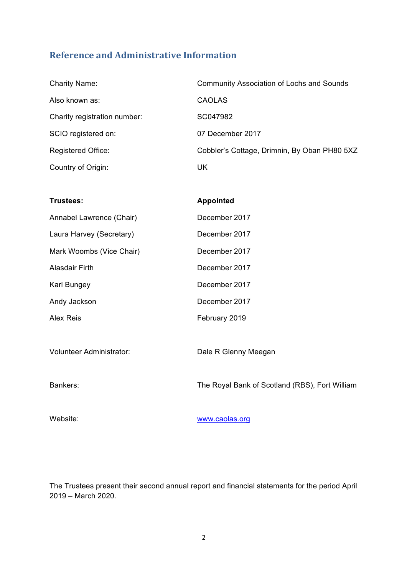## **Reference and Administrative Information**

| <b>Charity Name:</b>         | <b>Community Association of Lochs and Sounds</b> |
|------------------------------|--------------------------------------------------|
| Also known as:               | <b>CAOLAS</b>                                    |
| Charity registration number: | SC047982                                         |
| SCIO registered on:          | 07 December 2017                                 |
| <b>Registered Office:</b>    | Cobbler's Cottage, Drimnin, By Oban PH80 5XZ     |
| Country of Origin:           | UK                                               |

**Trustees: Appointed**

| Annabel Lawrence (Chair) | December 2017        |
|--------------------------|----------------------|
| Laura Harvey (Secretary) | December 2017        |
| Mark Woombs (Vice Chair) | December 2017        |
| Alasdair Firth           | December 2017        |
| Karl Bungey              | December 2017        |
| Andy Jackson             | December 2017        |
| Alex Reis                | February 2019        |
|                          |                      |
| Volunteer Administrator: | Dale R Glenny Meegan |
|                          |                      |

Bankers: The Royal Bank of Scotland (RBS), Fort William

Website: www.caolas.org

The Trustees present their second annual report and financial statements for the period April 2019 – March 2020.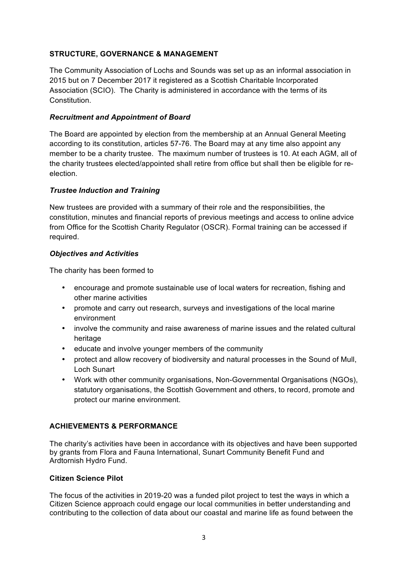## **STRUCTURE, GOVERNANCE & MANAGEMENT**

The Community Association of Lochs and Sounds was set up as an informal association in 2015 but on 7 December 2017 it registered as a Scottish Charitable Incorporated Association (SCIO). The Charity is administered in accordance with the terms of its Constitution.

## *Recruitment and Appointment of Board*

The Board are appointed by election from the membership at an Annual General Meeting according to its constitution, articles 57-76. The Board may at any time also appoint any member to be a charity trustee. The maximum number of trustees is 10. At each AGM, all of the charity trustees elected/appointed shall retire from office but shall then be eligible for reelection.

## *Trustee Induction and Training*

New trustees are provided with a summary of their role and the responsibilities, the constitution, minutes and financial reports of previous meetings and access to online advice from Office for the Scottish Charity Regulator (OSCR). Formal training can be accessed if required.

## *Objectives and Activities*

The charity has been formed to

- encourage and promote sustainable use of local waters for recreation, fishing and other marine activities
- promote and carry out research, surveys and investigations of the local marine environment
- involve the community and raise awareness of marine issues and the related cultural heritage
- educate and involve younger members of the community
- protect and allow recovery of biodiversity and natural processes in the Sound of Mull, Loch Sunart
- Work with other community organisations, Non-Governmental Organisations (NGOs), statutory organisations, the Scottish Government and others, to record, promote and protect our marine environment.

## **ACHIEVEMENTS & PERFORMANCE**

The charity's activities have been in accordance with its objectives and have been supported by grants from Flora and Fauna International, Sunart Community Benefit Fund and Ardtornish Hydro Fund.

## **Citizen Science Pilot**

The focus of the activities in 2019-20 was a funded pilot project to test the ways in which a Citizen Science approach could engage our local communities in better understanding and contributing to the collection of data about our coastal and marine life as found between the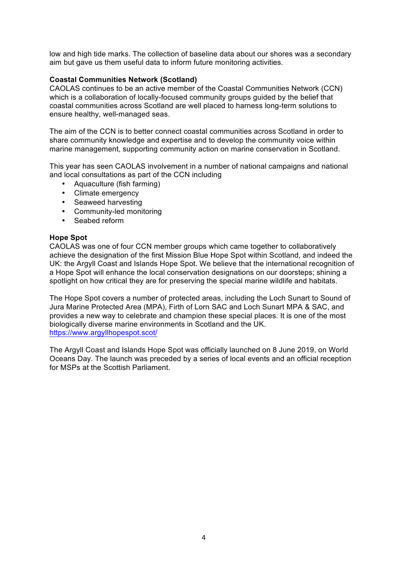low and high tide marks. The collection of baseline data about our shores was a secondary aim but gave us them useful data to inform future monitoring activities.

## **Coastal Communities Network (Scotland)**

CAOLAS continues to be an active member of the Coastal Communities Network (CCN) which is a collaboration of locally-focused community groups guided by the belief that coastal communities across Scotland are well placed to harness long-term solutions to ensure healthy, well-managed seas.

The aim of the CCN is to better connect coastal communities across Scotland in order to share community knowledge and expertise and to develop the community voice within marine management, supporting community action on marine conservation in Scotland.

This year has seen CAOLAS involvement in a number of national campaigns and national and local consultations as part of the CCN including

- Aquaculture (fish farming)
- Climate emergency
- Seaweed harvesting
- Community-led monitoring
- Seabed reform

### **Hope Spot**

CAOLAS was one of four CCN member groups which came together to collaboratively achieve the designation of the first Mission Blue Hope Spot within Scotland, and indeed the UK: the Argyll Coast and Islands Hope Spot. We believe that the international recognition of a Hope Spot will enhance the local conservation designations on our doorsteps; shining a spotlight on how critical they are for preserving the special marine wildlife and habitats.

The Hope Spot covers a number of protected areas, including the Loch Sunart to Sound of Jura Marine Protected Area (MPA), Firth of Lorn SAC and Loch Sunart MPA & SAC, and provides a new way to celebrate and champion these special places. It is one of the most biologically diverse marine environments in Scotland and the UK. https://www.argyllhopespot.scot/

The Argyll Coast and Islands Hope Spot was officially launched on 8 June 2019, on World Oceans Day. The launch was preceded by a series of local events and an official reception for MSPs at the Scottish Parliament.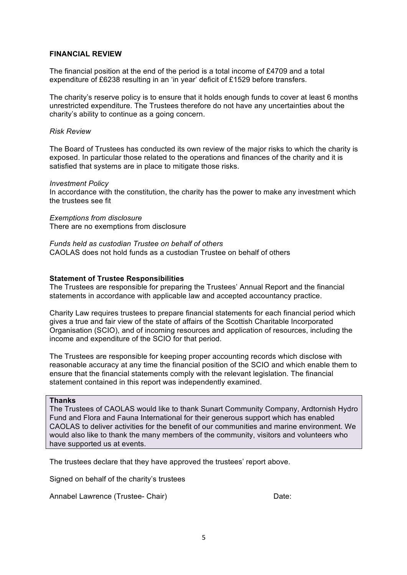### **FINANCIAL REVIEW**

The financial position at the end of the period is a total income of £4709 and a total expenditure of £6238 resulting in an 'in year' deficit of £1529 before transfers.

The charity's reserve policy is to ensure that it holds enough funds to cover at least 6 months unrestricted expenditure. The Trustees therefore do not have any uncertainties about the charity's ability to continue as a going concern.

### *Risk Review*

The Board of Trustees has conducted its own review of the major risks to which the charity is exposed. In particular those related to the operations and finances of the charity and it is satisfied that systems are in place to mitigate those risks.

#### *Investment Policy*

In accordance with the constitution, the charity has the power to make any investment which the trustees see fit

*Exemptions from disclosure* There are no exemptions from disclosure

*Funds held as custodian Trustee on behalf of others* CAOLAS does not hold funds as a custodian Trustee on behalf of others

#### **Statement of Trustee Responsibilities**

The Trustees are responsible for preparing the Trustees' Annual Report and the financial statements in accordance with applicable law and accepted accountancy practice.

Charity Law requires trustees to prepare financial statements for each financial period which gives a true and fair view of the state of affairs of the Scottish Charitable Incorporated Organisation (SCIO), and of incoming resources and application of resources, including the income and expenditure of the SCIO for that period.

The Trustees are responsible for keeping proper accounting records which disclose with reasonable accuracy at any time the financial position of the SCIO and which enable them to ensure that the financial statements comply with the relevant legislation. The financial statement contained in this report was independently examined.

#### **Thanks**

The Trustees of CAOLAS would like to thank Sunart Community Company, Ardtornish Hydro Fund and Flora and Fauna International for their generous support which has enabled CAOLAS to deliver activities for the benefit of our communities and marine environment. We would also like to thank the many members of the community, visitors and volunteers who have supported us at events.

The trustees declare that they have approved the trustees' report above.

Signed on behalf of the charity's trustees

Annabel Lawrence (Trustee- Chair) Date: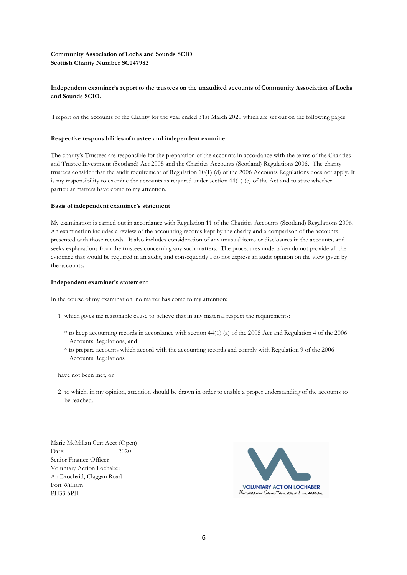#### **Community Association of Lochs and Sounds SCIO Scottish Charity Number SC047982**

#### **Independent examiner's report to the trustees on the unaudited accounts of Community Association of Lochs and Sounds SCIO.**

I report on the accounts of the Charity for the year ended 31st March 2020 which are set out on the following pages.

#### **Respective responsibilities of trustee and independent examiner**

The charity's Trustees are responsible for the preparation of the accounts in accordance with the terms of the Charities and Trustee Investment (Scotland) Act 2005 and the Charities Accounts (Scotland) Regulations 2006. The charity trustees consider that the audit requirement of Regulation 10(1) (d) of the 2006 Accounts Regulations does not apply. It is my responsibility to examine the accounts as required under section 44(1) (c) of the Act and to state whether particular matters have come to my attention.

#### **Basis of independent examiner's statement**

My examination is carried out in accordance with Regulation 11 of the Charities Accounts (Scotland) Regulations 2006. An examination includes a review of the accounting records kept by the charity and a comparison of the accounts presented with those records. It also includes consideration of any unusual items or disclosures in the accounts, and seeks explanations from the trustees concerning any such matters. The procedures undertaken do not provide all the evidence that would be required in an audit, and consequently I do not express an audit opinion on the view given by the accounts.

#### **Independent examiner's statement**

In the course of my examination, no matter has come to my attention:

- 1 which gives me reasonable cause to believe that in any material respect the requirements:
	- \* to keep accounting records in accordance with section 44(1) (a) of the 2005 Act and Regulation 4 of the 2006 Accounts Regulations, and
	- \* to prepare accounts which accord with the accounting records and comply with Regulation 9 of the 2006 Accounts Regulations

have not been met, or

2 to which, in my opinion, attention should be drawn in order to enable a proper understanding of the accounts to be reached.

Marie McMillan Cert Acct (Open) Date: - 2020 Senior Finance Officer Voluntary Action Lochaber An Drochaid, Claggan Road Fort William PH33 6PH

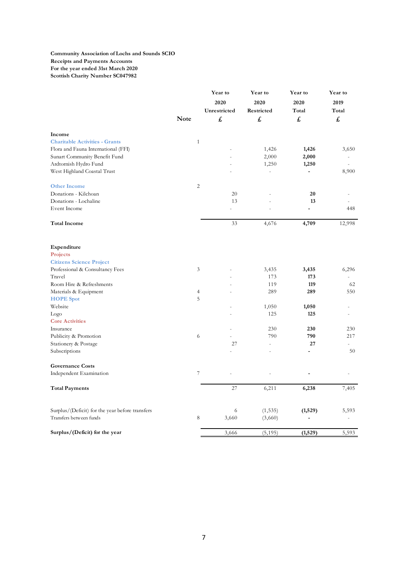#### **Community Association of Lochs and Sounds SCIO Receipts and Payments Accounts For the year ended 31st March 2020 Scottish Charity Number SC047982**

|                                                 |                | Year to<br>2020<br>Unrestricted | Year to<br>2020<br>Restricted | Year to<br>2020<br>Total     | Year to<br>2019<br>Total |
|-------------------------------------------------|----------------|---------------------------------|-------------------------------|------------------------------|--------------------------|
|                                                 | <b>Note</b>    | £                               | £                             | £                            | £                        |
| Income                                          |                |                                 |                               |                              |                          |
| <b>Charitable Activities - Grants</b>           | $\mathbf{1}$   |                                 |                               |                              |                          |
| Flora and Fauna International (FFI)             |                |                                 | 1,426                         | 1,426                        | 3,650                    |
| Sunart Community Benefit Fund                   |                |                                 | 2,000                         | 2,000                        | $\blacksquare$           |
| Ardtornish Hydro Fund                           |                |                                 | 1,250                         | 1,250                        |                          |
| West Highland Coastal Trust                     |                |                                 | L.                            | $\qquad \qquad \blacksquare$ | 8,900                    |
| <b>Other Income</b>                             | $\overline{c}$ |                                 |                               |                              |                          |
| Donations - Kilchoan                            |                | 20                              |                               | 20                           |                          |
| Donations - Lochaline                           |                | 13                              |                               | 13                           |                          |
| Event Income                                    |                |                                 |                               | ÷,                           | 448                      |
| <b>Total Income</b>                             |                | 33                              | 4,676                         | 4,709                        | 12,998                   |
| Expenditure                                     |                |                                 |                               |                              |                          |
| Projects                                        |                |                                 |                               |                              |                          |
| <b>Citizens Science Project</b>                 |                |                                 |                               |                              |                          |
| Professional & Consultancy Fees                 | $\mathfrak{Z}$ |                                 | 3,435                         | 3,435                        | 6,296                    |
| Travel                                          |                |                                 | 173                           | 173                          | $\overline{\phantom{a}}$ |
| Room Hire & Refreshments                        |                |                                 | 119                           | 119                          | 62                       |
| Materials & Equipment                           | $\overline{4}$ |                                 | 289                           | 289                          | 550                      |
| <b>HOPE</b> Spot                                | 5              |                                 |                               |                              |                          |
| Website                                         |                |                                 | 1,050                         | 1,050                        | ٠                        |
| Logo                                            |                |                                 | 125                           | 125                          |                          |
| <b>Core Activities</b>                          |                |                                 |                               |                              |                          |
| Insurance                                       |                |                                 | 230                           | 230                          | 230                      |
| Publicity & Promotion                           | 6              |                                 | 790                           | 790                          | 217                      |
| Stationery & Postage                            |                | 27                              | $\overline{a}$                | 27                           |                          |
| Subscriptions                                   |                |                                 |                               | L,                           | 50                       |
| <b>Governance Costs</b>                         |                |                                 |                               |                              |                          |
| Independent Examination                         | $\overline{7}$ |                                 |                               |                              |                          |
| <b>Total Payments</b>                           |                | 27                              | 6,211                         | 6,238                        | 7,405                    |
| Surplus/(Deficit) for the year before transfers |                | 6                               | (1, 535)                      | (1,529)                      | 5,593                    |
| Transfers between funds                         | 8              | 3,660                           | (3,660)                       |                              |                          |
| Surplus/(Deficit) for the year                  |                | 3,666                           | (5, 195)                      | (1,529)                      | 5,593                    |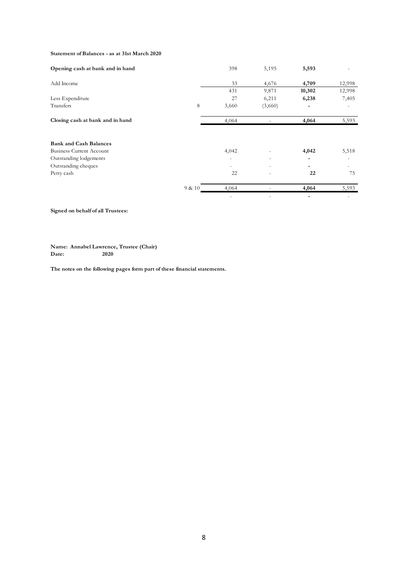#### **Statement of Balances - as at 31st March 2020**

| Opening cash at bank and in hand |        | 398   | 5,195                    | 5,593  |        |
|----------------------------------|--------|-------|--------------------------|--------|--------|
| Add Income                       |        | 33    | 4,676                    | 4,709  | 12,998 |
|                                  |        | 431   | 9,871                    | 10,302 | 12,998 |
| Less Expenditure                 |        | 27    | 6,211                    | 6,238  | 7,405  |
| Transfers                        | 8      | 3,660 | (3,660)                  |        |        |
| Closing cash at bank and in hand |        | 4,064 |                          | 4,064  | 5,593  |
|                                  |        |       |                          |        |        |
| <b>Bank and Cash Balances</b>    |        |       |                          |        |        |
| <b>Business Current Account</b>  |        | 4,042 |                          | 4,042  | 5,518  |
| Outstanding lodgements           |        |       | $\overline{\phantom{a}}$ |        |        |
| Outstanding cheques              |        |       | ٠                        |        |        |
| Petty cash                       |        | 22    |                          | 22     | 75     |
|                                  | 9 & 10 | 4,064 |                          | 4,064  | 5,593  |
|                                  |        |       |                          |        |        |

#### **Signed on behalf of all Trustees:**

**Name: Annabel Lawrence, Trustee (Chair)** Date:

**The notes on the following pages form part of these financial statements.**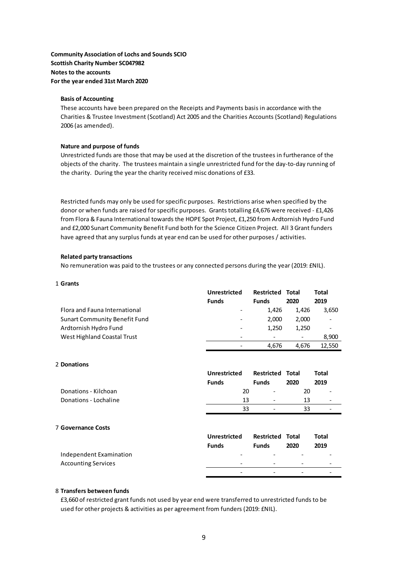**Community Association of Lochs and Sounds SCIO Scottish Charity Number SC047982 Notes to the accounts** For the year ended 31st March 2020

#### **Basis of Accounting**

These accounts have been prepared on the Receipts and Payments basis in accordance with the Charities & Trustee Investment (Scotland) Act 2005 and the Charities Accounts (Scotland) Regulations 2006 (as amended).

#### **Nature and purpose of funds**

Unrestricted funds are those that may be used at the discretion of the trustees in furtherance of the objects of the charity. The trustees maintain a single unrestricted fund for the day-to-day running of the charity. During the year the charity received misc donations of £33.

Restricted funds may only be used for specific purposes. Restrictions arise when specified by the donor or when funds are raised for specific purposes. Grants totalling £4,676 were received - £1,426 from Flora & Fauna International towards the HOPE Spot Project, £1,250 from Ardtornish Hydro Fund and £2,000 Sunart Community Benefit Fund both for the Science Citizen Project. All 3 Grant funders have agreed that any surplus funds at year end can be used for other purposes / activities.

#### **Related party transactions**

No remuneration was paid to the trustees or any connected persons during the year (2019: £NIL).

| 1 Grants                             |                              |                   |                          |                          |
|--------------------------------------|------------------------------|-------------------|--------------------------|--------------------------|
|                                      | Unrestricted                 | <b>Restricted</b> | Total                    | Total                    |
|                                      | <b>Funds</b>                 | <b>Funds</b>      | 2020                     | 2019                     |
| Flora and Fauna International        | -                            | 1.426             | 1.426                    | 3,650                    |
| <b>Sunart Community Benefit Fund</b> | -                            | 2.000             | 2,000                    | $\overline{\phantom{a}}$ |
| Ardtornish Hydro Fund                | $\qquad \qquad \blacksquare$ | 1.250             | 1,250                    |                          |
| West Highland Coastal Trust          | $\qquad \qquad$              |                   | $\overline{\phantom{a}}$ | 8,900                    |
|                                      |                              | 4.676             | 4.676                    | 12,550                   |

#### 2 **Donations**

|                            | Unrestricted<br><b>Funds</b> | <b>Restricted</b><br><b>Funds</b> | Total<br>2020 | <b>Total</b><br>2019     |
|----------------------------|------------------------------|-----------------------------------|---------------|--------------------------|
| Donations - Kilchoan       | 20                           |                                   | 20            |                          |
| Donations - Lochaline      | 13                           |                                   | 13            | $\overline{\phantom{a}}$ |
|                            | 33                           |                                   | 33            |                          |
| <b>7 Governance Costs</b>  | Unrestricted<br><b>Funds</b> | <b>Restricted</b><br><b>Funds</b> | Total<br>2020 | <b>Total</b><br>2019     |
| Independent Examination    |                              |                                   |               |                          |
| <b>Accounting Services</b> |                              |                                   |               |                          |
|                            |                              |                                   |               |                          |

#### 8 **Transfers between funds**

£3,660 of restricted grant funds not used by year end were transferred to unrestricted funds to be used for other projects & activities as per agreement from funders (2019: £NIL).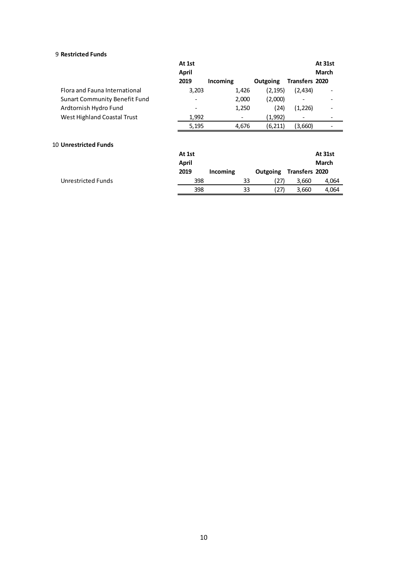#### 9 **Restricted Funds**

| At 1st |          |          |         | At 31st                                                         |
|--------|----------|----------|---------|-----------------------------------------------------------------|
| 2019   | Incoming | Outgoing |         | March                                                           |
| 3,203  | 1,426    |          | (2,434) |                                                                 |
|        | 2,000    |          |         |                                                                 |
|        | 1,250    | (24)     | (1,226) |                                                                 |
| 1,992  |          | (1,992)  |         |                                                                 |
| 5,195  | 4,676    | (6, 211) | (3,660) |                                                                 |
| At 1st |          |          |         | At 31st                                                         |
| April  |          |          |         | March                                                           |
| 2019   | Incoming | Outgoing |         |                                                                 |
| 398    | 33       |          | 3,660   | 4,064                                                           |
| 398    | 33       | (27)     | 3,660   | 4,064                                                           |
|        | April    |          |         | Transfers 2020<br>(2, 195)<br>(2,000)<br>Transfers 2020<br>(27) |